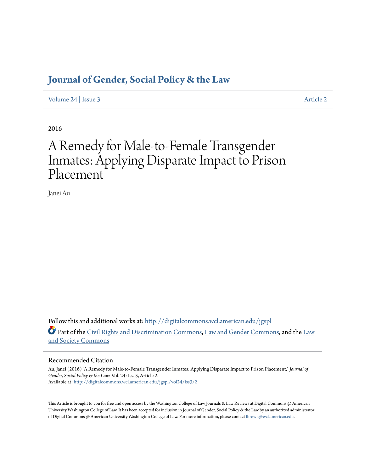## **[Journal of Gender, Social Policy & the Law](http://digitalcommons.wcl.american.edu/jgspl?utm_source=digitalcommons.wcl.american.edu%2Fjgspl%2Fvol24%2Fiss3%2F2&utm_medium=PDF&utm_campaign=PDFCoverPages)**

[Volume 24](http://digitalcommons.wcl.american.edu/jgspl/vol24?utm_source=digitalcommons.wcl.american.edu%2Fjgspl%2Fvol24%2Fiss3%2F2&utm_medium=PDF&utm_campaign=PDFCoverPages) | [Issue 3](http://digitalcommons.wcl.american.edu/jgspl/vol24/iss3?utm_source=digitalcommons.wcl.american.edu%2Fjgspl%2Fvol24%2Fiss3%2F2&utm_medium=PDF&utm_campaign=PDFCoverPages) [Article 2](http://digitalcommons.wcl.american.edu/jgspl/vol24/iss3/2?utm_source=digitalcommons.wcl.american.edu%2Fjgspl%2Fvol24%2Fiss3%2F2&utm_medium=PDF&utm_campaign=PDFCoverPages)

2016

# A Remedy for Male-to-Female Transgender Inmates: Applying Disparate Impact to Prison Placement

Janei Au

Follow this and additional works at: [http://digitalcommons.wcl.american.edu/jgspl](http://digitalcommons.wcl.american.edu/jgspl?utm_source=digitalcommons.wcl.american.edu%2Fjgspl%2Fvol24%2Fiss3%2F2&utm_medium=PDF&utm_campaign=PDFCoverPages) Part of the [Civil Rights and Discrimination Commons,](http://network.bepress.com/hgg/discipline/585?utm_source=digitalcommons.wcl.american.edu%2Fjgspl%2Fvol24%2Fiss3%2F2&utm_medium=PDF&utm_campaign=PDFCoverPages) [Law and Gender Commons](http://network.bepress.com/hgg/discipline/1298?utm_source=digitalcommons.wcl.american.edu%2Fjgspl%2Fvol24%2Fiss3%2F2&utm_medium=PDF&utm_campaign=PDFCoverPages), and the [Law](http://network.bepress.com/hgg/discipline/853?utm_source=digitalcommons.wcl.american.edu%2Fjgspl%2Fvol24%2Fiss3%2F2&utm_medium=PDF&utm_campaign=PDFCoverPages) [and Society Commons](http://network.bepress.com/hgg/discipline/853?utm_source=digitalcommons.wcl.american.edu%2Fjgspl%2Fvol24%2Fiss3%2F2&utm_medium=PDF&utm_campaign=PDFCoverPages)

## Recommended Citation

Au, Janei (2016) "A Remedy for Male-to-Female Transgender Inmates: Applying Disparate Impact to Prison Placement," *Journal of Gender, Social Policy & the Law*: Vol. 24: Iss. 3, Article 2. Available at: [http://digitalcommons.wcl.american.edu/jgspl/vol24/iss3/2](http://digitalcommons.wcl.american.edu/jgspl/vol24/iss3/2?utm_source=digitalcommons.wcl.american.edu%2Fjgspl%2Fvol24%2Fiss3%2F2&utm_medium=PDF&utm_campaign=PDFCoverPages)

This Article is brought to you for free and open access by the Washington College of Law Journals & Law Reviews at Digital Commons @ American University Washington College of Law. It has been accepted for inclusion in Journal of Gender, Social Policy & the Law by an authorized administrator of Digital Commons @ American University Washington College of Law. For more information, please contact [fbrown@wcl.american.edu.](mailto:fbrown@wcl.american.edu)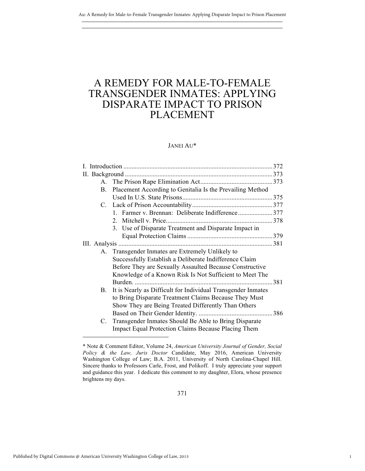## A REMEDY FOR MALE-TO-FEMALE TRANSGENDER INMATES: APPLYING DISPARATE IMPACT TO PRISON PLACEMENT

## JANEI AU\*

|  | $A_{-}$ |                                                              |              |
|--|---------|--------------------------------------------------------------|--------------|
|  | B.      | Placement According to Genitalia Is the Prevailing Method    |              |
|  |         |                                                              |              |
|  |         |                                                              |              |
|  |         | 1. Farmer v. Brennan: Deliberate Indifference377             |              |
|  |         |                                                              |              |
|  |         | 3. Use of Disparate Treatment and Disparate Impact in        |              |
|  |         |                                                              |              |
|  |         |                                                              |              |
|  |         | A. Transgender Inmates are Extremely Unlikely to             |              |
|  |         | Successfully Establish a Deliberate Indifference Claim       |              |
|  |         | Before They are Sexually Assaulted Because Constructive      |              |
|  |         | Knowledge of a Known Risk Is Not Sufficient to Meet The      |              |
|  |         |                                                              | $\ldots$ 381 |
|  | В.      | It is Nearly as Difficult for Individual Transgender Inmates |              |
|  |         | to Bring Disparate Treatment Claims Because They Must        |              |
|  |         | Show They are Being Treated Differently Than Others          |              |
|  |         |                                                              |              |
|  | C.      | Transgender Inmates Should Be Able to Bring Disparate        |              |
|  |         | <b>Impact Equal Protection Claims Because Placing Them</b>   |              |
|  |         |                                                              |              |

1

<sup>\*</sup> Note & Comment Editor, Volume 24, *American University Journal of Gender, Social Policy & the Law, Juris Doctor* Candidate, May 2016, American University Washington College of Law; B.A. 2011, University of North Carolina-Chapel Hill. Sincere thanks to Professors Carle, Frost, and Polikoff. I truly appreciate your support and guidance this year. I dedicate this comment to my daughter, Elora, whose presence brightens my days.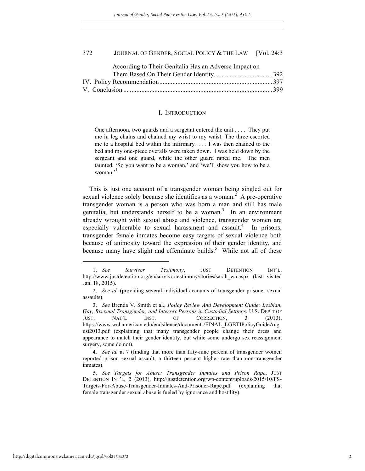| According to Their Genitalia Has an Adverse Impact on |  |
|-------------------------------------------------------|--|
|                                                       |  |
|                                                       |  |
|                                                       |  |

#### I. INTRODUCTION

One afternoon, two guards and a sergeant entered the unit . . . . They put me in leg chains and chained my wrist to my waist. The three escorted me to a hospital bed within the infirmary . . . . I was then chained to the bed and my one-piece overalls were taken down. I was held down by the sergeant and one guard, while the other guard raped me. The men taunted, 'So you want to be a woman,' and 'we'll show you how to be a woman.'<sup>1</sup>

This is just one account of a transgender woman being singled out for sexual violence solely because she identifies as a woman.<sup>2</sup> A pre-operative transgender woman is a person who was born a man and still has male genitalia, but understands herself to be a woman.<sup>3</sup> In an environment already wrought with sexual abuse and violence, transgender women are especially vulnerable to sexual harassment and assault.<sup>4</sup> In prisons, transgender female inmates become easy targets of sexual violence both because of animosity toward the expression of their gender identity, and because many have slight and effeminate builds.<sup>5</sup> While not all of these

<sup>1.</sup> *See Survivor Testimony*, JUST DETENTION INT'L, http://www.justdetention.org/en/survivortestimony/stories/sarah\_wa.aspx (last visited Jan. 18, 2015).

<sup>2.</sup> *See id*. (providing several individual accounts of transgender prisoner sexual assaults).

<sup>3.</sup> *See* Brenda V. Smith et al., *Policy Review And Development Guide: Lesbian, Gay, Bisexual Transgender, and Intersex Persons in Custodial Settings*, U.S. DEP'T OF JUST. NAT'L INST. OF CORRECTION, 3 (2013), https://www.wcl.american.edu/endsilence/documents/FINAL\_LGBTIPolicyGuideAug ust2013.pdf (explaining that many transgender people change their dress and appearance to match their gender identity, but while some undergo sex reassignment surgery, some do not).

<sup>4.</sup> *See id.* at 7 (finding that more than fifty-nine percent of transgender women reported prison sexual assault, a thirteen percent higher rate than non-transgender inmates).

<sup>5.</sup> *See Targets for Abuse: Transgender Inmates and Prison Rape*, JUST DETENTION INT'L, 2 (2013), http://justdetention.org/wp-content/uploads/2015/10/FS-Targets-For-Abuse-Transgender-Inmates-And-Prisoner-Rape.pdf (explaining that female transgender sexual abuse is fueled by ignorance and hostility).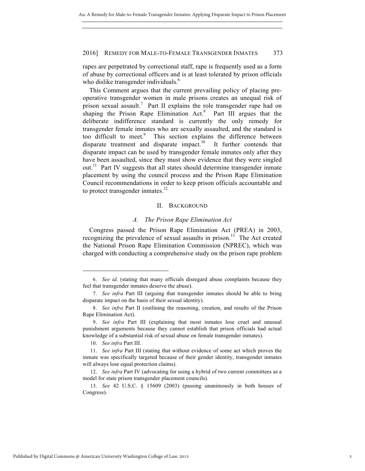rapes are perpetrated by correctional staff, rape is frequently used as a form of abuse by correctional officers and is at least tolerated by prison officials who dislike transgender individuals.<sup>6</sup>

This Comment argues that the current prevailing policy of placing preoperative transgender women in male prisons creates an unequal risk of prison sexual assault.<sup>7</sup> Part II explains the role transgender rape had on shaping the Prison Rape Elimination  $Act.^8$  Part III argues that the deliberate indifference standard is currently the only remedy for transgender female inmates who are sexually assaulted, and the standard is too difficult to meet.<sup>9</sup> This section explains the difference between disparate treatment and disparate impact.<sup>10</sup> It further contends that disparate impact can be used by transgender female inmates only after they have been assaulted, since they must show evidence that they were singled out.<sup>11</sup> Part IV suggests that all states should determine transgender inmate placement by using the council process and the Prison Rape Elimination Council recommendations in order to keep prison officials accountable and to protect transgender inmates. $^{12}$ 

#### II. BACKGROUND

#### *A. The Prison Rape Elimination Act*

Congress passed the Prison Rape Elimination Act (PREA) in 2003, recognizing the prevalence of sexual assaults in prison.<sup>13</sup> The Act created the National Prison Rape Elimination Commission (NPREC), which was charged with conducting a comprehensive study on the prison rape problem

<sup>6.</sup> *See id.* (stating that many officials disregard abuse complaints because they feel that transgender inmates deserve the abuse).

<sup>7.</sup> *See infra* Part III (arguing that transgender inmates should be able to bring disparate impact on the basis of their sexual identity).

<sup>8.</sup> *See infra* Part II (outlining the reasoning, creation, and results of the Prison Rape Elimination Act).

<sup>9.</sup> *See infra* Part III (explaining that most inmates lose cruel and unusual punishment arguments because they cannot establish that prison officials had actual knowledge of a substantial risk of sexual abuse on female transgender inmates).

<sup>10.</sup> *See infra* Part III.

<sup>11.</sup> *See infra* Part III (stating that without evidence of some act which proves the inmate was specifically targeted because of their gender identity, transgender inmates will always lose equal protection claims).

<sup>12.</sup> *See infra* Part IV (advocating for using a hybrid of two current committees as a model for state prison transgender placement councils).

<sup>13.</sup> *See* 42 U.S.C. § 15609 (2003) (passing unanimously in both houses of Congress).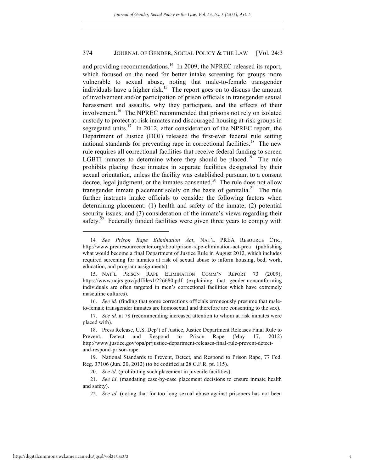and providing recommendations.<sup>14</sup> In 2009, the NPREC released its report, which focused on the need for better intake screening for groups more vulnerable to sexual abuse, noting that male-to-female transgender individuals have a higher risk.<sup>15</sup> The report goes on to discuss the amount of involvement and/or participation of prison officials in transgender sexual harassment and assaults, why they participate, and the effects of their involvement.<sup>16</sup> The NPREC recommended that prisons not rely on isolated custody to protect at-risk inmates and discouraged housing at-risk groups in segregated units.<sup>17</sup> In 2012, after consideration of the NPREC report, the Department of Justice (DOJ) released the first-ever federal rule setting national standards for preventing rape in correctional facilities.<sup>18</sup> The new rule requires all correctional facilities that receive federal funding to screen LGBTI inmates to determine where they should be placed.<sup>19</sup> The rule prohibits placing these inmates in separate facilities designated by their sexual orientation, unless the facility was established pursuant to a consent decree, legal judgment, or the inmates consented.<sup>20</sup> The rule does not allow transgender inmate placement solely on the basis of genitalia.<sup>21</sup> The rule further instructs intake officials to consider the following factors when determining placement: (1) health and safety of the inmate; (2) potential security issues; and (3) consideration of the inmate's views regarding their safety.<sup>22</sup> Federally funded facilities were given three years to comply with

16. *See id.* (finding that some corrections officials erroneously presume that maleto-female transgender inmates are homosexual and therefore are consenting to the sex).

<sup>14</sup>*. See Prison Rape Elimination Act*, NAT'L PREA RESOURCE CTR., http://www.prearesourcecenter.org/about/prison-rape-elimination-act-prea (publishing what would become a final Department of Justice Rule in August 2012, which includes required screening for inmates at risk of sexual abuse to inform housing, bed, work, education, and program assignments).

<sup>15.</sup> NAT'L PRISON RAPE ELIMINATION COMM'N REPORT 73 (2009), https://www.ncjrs.gov/pdffiles1/226680.pdf (explaining that gender-nonconforming individuals are often targeted in men's correctional facilities which have extremely masculine cultures).

<sup>17.</sup> *See id.* at 78 (recommending increased attention to whom at risk inmates were placed with).

<sup>18.</sup> Press Release, U.S. Dep't of Justice, Justice Department Releases Final Rule to Prevent, Detect and Respond to Prison Rape (May 17, 2012) http://www.justice.gov/opa/pr/justice-department-releases-final-rule-prevent-detectand-respond-prison-rape.

<sup>19.</sup> National Standards to Prevent, Detect, and Respond to Prison Rape, 77 Fed. Reg. 37106 (Jun. 20, 2012) (to be codified at 28 C.F.R. pt. 115).

<sup>20.</sup> *See id*. (prohibiting such placement in juvenile facilities).

<sup>21.</sup> *See id*. (mandating case-by-case placement decisions to ensure inmate health and safety).

<sup>22.</sup> *See id*. (noting that for too long sexual abuse against prisoners has not been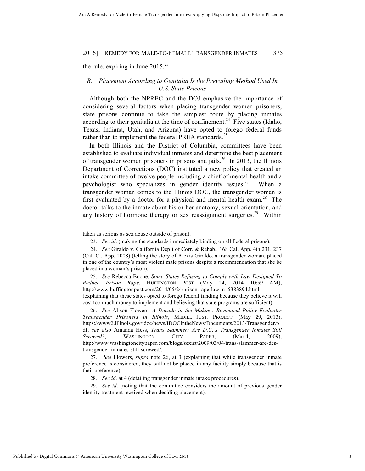the rule, expiring in June  $2015^{23}$ 

## *B. Placement According to Genitalia Is the Prevailing Method Used In U.S. State Prisons*

Although both the NPREC and the DOJ emphasize the importance of considering several factors when placing transgender women prisoners, state prisons continue to take the simplest route by placing inmates according to their genitalia at the time of confinement.<sup>24</sup> Five states (Idaho, Texas, Indiana, Utah, and Arizona) have opted to forego federal funds rather than to implement the federal PREA standards.<sup>25</sup>

In both Illinois and the District of Columbia, committees have been established to evaluate individual inmates and determine the best placement of transgender women prisoners in prisons and jails.<sup>26</sup> In 2013, the Illinois Department of Corrections (DOC) instituted a new policy that created an intake committee of twelve people including a chief of mental health and a psychologist who specializes in gender identity issues.<sup>27</sup> When a transgender woman comes to the Illinois DOC, the transgender woman is first evaluated by a doctor for a physical and mental health exam.<sup>28</sup> The doctor talks to the inmate about his or her anatomy, sexual orientation, and any history of hormone therapy or sex reassignment surgeries.<sup>29</sup> Within

taken as serious as sex abuse outside of prison).

<sup>23.</sup> *See id*. (making the standards immediately binding on all Federal prisons).

<sup>24.</sup> *See* Giraldo v. California Dep't of Corr. & Rehab., 168 Cal. App. 4th 231, 237 (Cal. Ct. App. 2008) (telling the story of Alexis Giraldo, a transgender woman, placed in one of the country's most violent male prisons despite a recommendation that she be placed in a woman's prison).

<sup>25.</sup> *See* Rebecca Boone, *Some States Refusing to Comply with Law Designed To Reduce Prison Rape*, HUFFINGTON POST (May 24, 2014 10:59 AM), http://www.huffingtonpost.com/2014/05/24/prison-rape-law\_n\_5383894.html (explaining that these states opted to forego federal funding because they believe it will cost too much money to implement and believing that state programs are sufficient).

<sup>26.</sup> *See* Alison Flowers, *A Decade in the Making: Revamped Policy Evaluates Transgender Prisoners in Illinois*, MEDILL JUST. PROJECT, (May 29, 2013), https://www2.illinois.gov/idoc/news/IDOCintheNews/Documents/2013/Transgender.p df; *see also* Amanda Hess, *Trans Slammer: Are D.C.'s Transgender Inmates Still Screwed?*, WASHINGTON CITY PAPER, (Mar.4, 2009), http://www.washingtoncitypaper.com/blogs/sexist/2009/03/04/trans-slammer-are-dcstransgender-inmates-still-screwed/.

<sup>27.</sup> *See* Flowers, *supra* note 26, at 3 (explaining that while transgender inmate preference is considered, they will not be placed in any facility simply because that is their preference).

<sup>28.</sup> *See id*. at 4 (detailing transgender inmate intake procedures).

<sup>29.</sup> *See id*. (noting that the committee considers the amount of previous gender identity treatment received when deciding placement).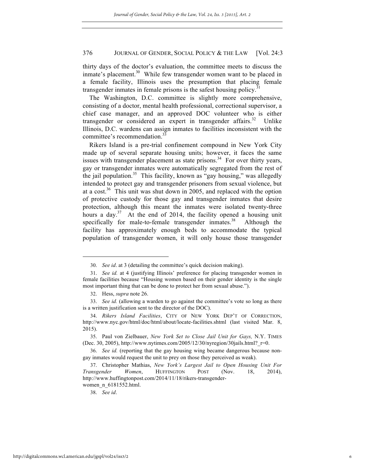thirty days of the doctor's evaluation, the committee meets to discuss the inmate's placement.<sup>30</sup> While few transgender women want to be placed in a female facility, Illinois uses the presumption that placing female transgender inmates in female prisons is the safest housing policy.<sup>31</sup>

The Washington, D.C. committee is slightly more comprehensive, consisting of a doctor, mental health professional, correctional supervisor, a chief case manager, and an approved DOC volunteer who is either transgender or considered an expert in transgender affairs.<sup>32</sup> Unlike Illinois, D.C. wardens can assign inmates to facilities inconsistent with the committee's recommendation.<sup>3</sup>

Rikers Island is a pre-trial confinement compound in New York City made up of several separate housing units; however, it faces the same issues with transgender placement as state prisons.<sup>34</sup> For over thirty years, gay or transgender inmates were automatically segregated from the rest of the jail population.<sup>35</sup> This facility, known as "gay housing," was allegedly intended to protect gay and transgender prisoners from sexual violence, but at a cost.<sup>36</sup> This unit was shut down in 2005, and replaced with the option of protective custody for those gay and transgender inmates that desire protection, although this meant the inmates were isolated twenty-three hours a day.<sup>37</sup> At the end of 2014, the facility opened a housing unit specifically for male-to-female transgender inmates. $38$  Although the facility has approximately enough beds to accommodate the typical population of transgender women, it will only house those transgender

<sup>30.</sup> *See id*. at 3 (detailing the committee's quick decision making).

<sup>31.</sup> *See id.* at 4 (justifying Illinois' preference for placing transgender women in female facilities because "Housing women based on their gender identity is the single most important thing that can be done to protect her from sexual abuse.").

<sup>32.</sup> Hess, *supra* note 26.

<sup>33.</sup> *See id.* (allowing a warden to go against the committee's vote so long as there is a written justification sent to the director of the DOC).

<sup>34.</sup> *Rikers Island Facilities*, CITY OF NEW YORK DEP'T OF CORRECTION, http://www.nyc.gov/html/doc/html/about/locate-facilities.shtml (last visited Mar. 8, 2015).

<sup>35.</sup> Paul von Zielbauer, *New York Set to Close Jail Unit for Gays,* N.Y. TIMES (Dec. 30, 2005), http://www.nytimes.com/2005/12/30/nyregion/30jails.html?\_r=0.

<sup>36.</sup> *See id.* (reporting that the gay housing wing became dangerous because nongay inmates would request the unit to prey on those they perceived as weak).

<sup>37.</sup> Christopher Mathias, *New York's Largest Jail to Open Housing Unit For Transgender Women*, HUFFINGTON POST (Nov. 18, 2014), http://www.huffingtonpost.com/2014/11/18/rikers-transgenderwomen\_n\_6181552.html.

<sup>38.</sup> *See id*.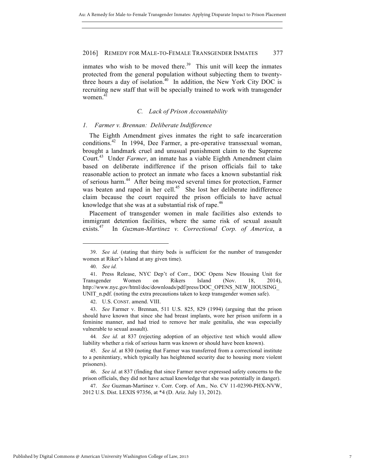inmates who wish to be moved there.<sup>39</sup> This unit will keep the inmates protected from the general population without subjecting them to twentythree hours a day of isolation.<sup>40</sup> In addition, the New York City DOC is recruiting new staff that will be specially trained to work with transgender women.<sup>41</sup>

### *C. Lack of Prison Accountability*

#### *1. Farmer v. Brennan: Deliberate Indifference*

The Eighth Amendment gives inmates the right to safe incarceration conditions.<sup>42</sup> In 1994, Dee Farmer, a pre-operative transsexual woman, brought a landmark cruel and unusual punishment claim to the Supreme Court.43 Under *Farmer*, an inmate has a viable Eighth Amendment claim based on deliberate indifference if the prison officials fail to take reasonable action to protect an inmate who faces a known substantial risk of serious harm.<sup>44</sup> After being moved several times for protection, Farmer was beaten and raped in her cell. $45$  She lost her deliberate indifference claim because the court required the prison officials to have actual knowledge that she was at a substantial risk of rape. $46$ 

Placement of transgender women in male facilities also extends to immigrant detention facilities, where the same risk of sexual assault exists.47 In *Guzman-Martinez v. Correctional Corp. of America*, a

<sup>39.</sup> *See id*. (stating that thirty beds is sufficient for the number of transgender women at Riker's Island at any given time).

<sup>40.</sup> *See id.*

<sup>41.</sup> Press Release, NYC Dep't of Corr., DOC Opens New Housing Unit for Transgender Women on Rikers Island (Nov. 18, 2014), http://www.nyc.gov/html/doc/downloads/pdf/press/DOC\_OPENS\_NEW\_HOUSING\_ UNIT\_n.pdf. (noting the extra precautions taken to keep transgender women safe).

<sup>42.</sup> U.S. CONST. amend. VIII.

<sup>43.</sup> *See* Farmer v. Brennan, 511 U.S. 825, 829 (1994) (arguing that the prison should have known that since she had breast implants, wore her prison uniform in a feminine manner, and had tried to remove her male genitalia, she was especially vulnerable to sexual assault).

<sup>44</sup>*. See id.* at 837 (rejecting adoption of an objective test which would allow liability whether a risk of serious harm was known or should have been known).

<sup>45.</sup> *See id*. at 830 (noting that Farmer was transferred from a correctional institute to a penitentiary, which typically has heightened security due to housing more violent prisoners).

<sup>46.</sup> *See id.* at 837 (finding that since Farmer never expressed safety concerns to the prison officials, they did not have actual knowledge that she was potentially in danger).

<sup>47.</sup> *See* Guzman-Martinez v. Corr. Corp. of Am.*,* No. CV 11-02390-PHX-NVW, 2012 U.S. Dist. LEXIS 97356, at \*4 (D. Ariz. July 13, 2012).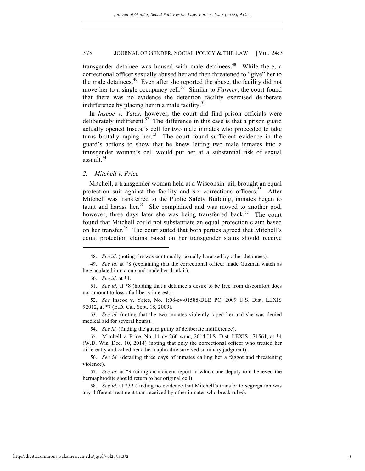transgender detainee was housed with male detainees.<sup>48</sup> While there, a correctional officer sexually abused her and then threatened to "give" her to the male detainees. $49$  Even after she reported the abuse, the facility did not move her to a single occupancy cell.<sup>50</sup> Similar to *Farmer*, the court found that there was no evidence the detention facility exercised deliberate indifference by placing her in a male facility. $51$ 

In *Inscoe v. Yates*, however, the court did find prison officials were deliberately indifferent.<sup>52</sup> The difference in this case is that a prison guard actually opened Inscoe's cell for two male inmates who proceeded to take turns brutally raping her.<sup>53</sup> The court found sufficient evidence in the guard's actions to show that he knew letting two male inmates into a transgender woman's cell would put her at a substantial risk of sexual assault.<sup>54</sup>

#### *2. Mitchell v. Price*

Mitchell, a transgender woman held at a Wisconsin jail, brought an equal protection suit against the facility and six corrections officers.<sup>55</sup> After Mitchell was transferred to the Public Safety Building, inmates began to taunt and harass her.<sup>56</sup> She complained and was moved to another pod, however, three days later she was being transferred back.<sup>57</sup> The court found that Mitchell could not substantiate an equal protection claim based on her transfer.<sup>58</sup> The court stated that both parties agreed that Mitchell's equal protection claims based on her transgender status should receive

 $\overline{a}$ 

54. *See id.* (finding the guard guilty of deliberate indifference).

<sup>48.</sup> *See id*. (noting she was continually sexually harassed by other detainees).

<sup>49.</sup> *See id*. at \*8 (explaining that the correctional officer made Guzman watch as he ejaculated into a cup and made her drink it).

<sup>50.</sup> *See id*. at \*4.

<sup>51.</sup> *See id*. at \*8 (holding that a detainee's desire to be free from discomfort does not amount to loss of a liberty interest).

<sup>52.</sup> *See* Inscoe v. Yates, No. 1:08-cv-01588-DLB PC, 2009 U.S. Dist. LEXIS 92012, at \*7 (E.D. Cal. Sept. 18, 2009).

<sup>53.</sup> *See id.* (noting that the two inmates violently raped her and she was denied medical aid for several hours).

<sup>55.</sup> Mitchell v. Price, No. 11-cv-260-wmc, 2014 U.S. Dist. LEXIS 171561, at \*4 (W.D. Wis. Dec. 10, 2014) (noting that only the correctional officer who treated her differently and called her a hermaphrodite survived summary judgment).

<sup>56.</sup> *See id.* (detailing three days of inmates calling her a faggot and threatening violence).

<sup>57.</sup> *See id.* at \*9 (citing an incident report in which one deputy told believed the hermaphrodite should return to her original cell).

<sup>58.</sup> *See id*. at \*32 (finding no evidence that Mitchell's transfer to segregation was any different treatment than received by other inmates who break rules).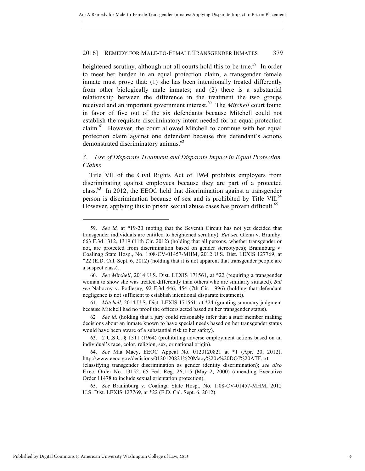heightened scrutiny, although not all courts hold this to be true.<sup>59</sup> In order to meet her burden in an equal protection claim, a transgender female inmate must prove that: (1) she has been intentionally treated differently from other biologically male inmates; and (2) there is a substantial relationship between the difference in the treatment the two groups received and an important government interest.<sup>60</sup> The *Mitchell* court found in favor of five out of the six defendants because Mitchell could not establish the requisite discriminatory intent needed for an equal protection  $\text{claim.}^{61}$  However, the court allowed Mitchell to continue with her equal protection claim against one defendant because this defendant's actions demonstrated discriminatory animus.<sup>62</sup>

## *3. Use of Disparate Treatment and Disparate Impact in Equal Protection Claims*

Title VII of the Civil Rights Act of 1964 prohibits employers from discriminating against employees because they are part of a protected class. $^{63}$  In 2012, the EEOC held that discrimination against a transgender person is discrimination because of sex and is prohibited by Title VII. $^{64}$ However, applying this to prison sexual abuse cases has proven difficult.<sup>65</sup>

61. *Mitchell*, 2014 U.S. Dist. LEXIS 171561, at \*24 (granting summary judgment because Mitchell had no proof the officers acted based on her transgender status).

65. *See* Braninburg v. Coalinga State Hosp., No. 1:08-CV-01457-MHM, 2012 U.S. Dist. LEXIS 127769, at \*22 (E.D. Cal. Sept. 6, 2012).

<sup>59.</sup> *See id.* at \*19-20 (noting that the Seventh Circuit has not yet decided that transgender individuals are entitled to heightened scrutiny). *But see* Glenn v. Brumby*,* 663 F.3d 1312, 1319 (11th Cir. 2012) (holding that all persons, whether transgender or not, are protected from discrimination based on gender stereotypes); Braninburg v. Coalinag State Hosp., No. 1:08-CV-01457-MHM, 2012 U.S. Dist. LEXIS 127769, at \*22 (E.D. Cal. Sept. 6, 2012) (holding that it is not apparent that transgender people are a suspect class).

<sup>60.</sup> *See Mitchell*, 2014 U.S. Dist. LEXIS 171561, at \*22 (requiring a transgender woman to show she was treated differently than others who are similarly situated). *But see* Nabozny v. Podlesny*,* 92 F.3d 446, 454 (7th Cir. 1996) (holding that defendant negligence is not sufficient to establish intentional disparate treatment).

<sup>62</sup>*. See id.* (holding that a jury could reasonably infer that a staff member making decisions about an inmate known to have special needs based on her transgender status would have been aware of a substantial risk to her safety).

<sup>63.</sup> 2 U.S.C. § 1311 (1964) (prohibiting adverse employment actions based on an individual's race, color, religion, sex, or national origin).

<sup>64.</sup> *See* Mia Macy, EEOC Appeal No. 0120120821 at \*1 (Apr. 20, 2012), http://www.eeoc.gov/decisions/0120120821%20Macy%20v%20DOJ%20ATF.txt (classifying transgender discrimination as gender identity discrimination); *see also* Exec. Order No. 13152, 65 Fed. Reg. 26,115 (May 2, 2000) (amending Executive Order 11478 to include sexual orientation protection).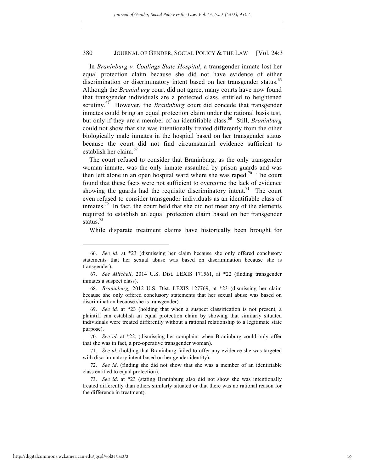In *Braninburg v. Coalings State Hospital*, a transgender inmate lost her equal protection claim because she did not have evidence of either discrimination or discriminatory intent based on her transgender status.<sup>66</sup> Although the *Braninburg* court did not agree, many courts have now found that transgender individuals are a protected class, entitled to heightened scrutiny.<sup>67</sup> However, the *Braninburg* court did concede that transgender inmates could bring an equal protection claim under the rational basis test, but only if they are a member of an identifiable class.<sup>68</sup> Still, *Braninburg* could not show that she was intentionally treated differently from the other biologically male inmates in the hospital based on her transgender status because the court did not find circumstantial evidence sufficient to establish her claim. $69$ 

The court refused to consider that Braninburg, as the only transgender woman inmate, was the only inmate assaulted by prison guards and was then left alone in an open hospital ward where she was raped.<sup>70</sup> The court found that these facts were not sufficient to overcome the lack of evidence showing the guards had the requisite discriminatory intent.<sup>71</sup> The court even refused to consider transgender individuals as an identifiable class of inmates.<sup>72</sup> In fact, the court held that she did not meet any of the elements required to establish an equal protection claim based on her transgender status. $33$ 

While disparate treatment claims have historically been brought for

<sup>66.</sup> *See id*. at \*23 (dismissing her claim because she only offered conclusory statements that her sexual abuse was based on discrimination because she is transgender).

<sup>67.</sup> *See Mitchell*, 2014 U.S. Dist. LEXIS 171561, at \*22 (finding transgender inmates a suspect class).

<sup>68.</sup> *Braninburg,* 2012 U.S. Dist. LEXIS 127769, at \*23 (dismissing her claim because she only offered conclusory statements that her sexual abuse was based on discrimination because she is transgender).

<sup>69.</sup> *See id.* at \*23 (holding that when a suspect classification is not present, a plaintiff can establish an equal protection claim by showing that similarly situated individuals were treated differently without a rational relationship to a legitimate state purpose).

<sup>70.</sup> *See id*. at \*22, (dismissing her complaint when Braninburg could only offer that she was in fact, a pre-operative transgender woman).

<sup>71.</sup> *See id*. (holding that Braninburg failed to offer any evidence she was targeted with discriminatory intent based on her gender identity).

<sup>72.</sup> *See id*. (finding she did not show that she was a member of an identifiable class entitled to equal protection).

<sup>73.</sup> *See id*. at \*23 (stating Braninburg also did not show she was intentionally treated differently than others similarly situated or that there was no rational reason for the difference in treatment).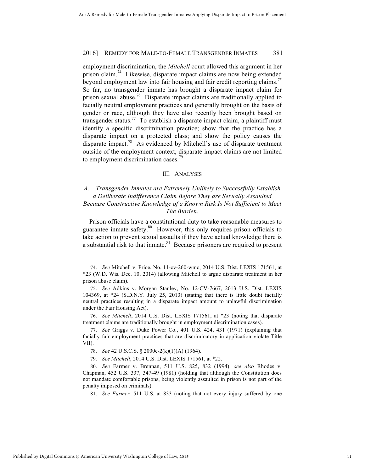employment discrimination, the *Mitchell* court allowed this argument in her prison claim.<sup>74</sup> Likewise, disparate impact claims are now being extended beyond employment law into fair housing and fair credit reporting claims.<sup>75</sup> So far, no transgender inmate has brought a disparate impact claim for prison sexual abuse.<sup>76</sup> Disparate impact claims are traditionally applied to facially neutral employment practices and generally brought on the basis of gender or race, although they have also recently been brought based on transgender status.<sup>77</sup> To establish a disparate impact claim, a plaintiff must identify a specific discrimination practice; show that the practice has a disparate impact on a protected class; and show the policy causes the disparate impact.<sup>78</sup> As evidenced by Mitchell's use of disparate treatment outside of the employment context, disparate impact claims are not limited to employment discrimination cases.<sup>79</sup>

#### III. ANALYSIS

## *A. Transgender Inmates are Extremely Unlikely to Successfully Establish a Deliberate Indifference Claim Before They are Sexually Assaulted Because Constructive Knowledge of a Known Risk Is Not Sufficient to Meet The Burden.*

Prison officials have a constitutional duty to take reasonable measures to guarantee inmate safety.80 However, this only requires prison officials to take action to prevent sexual assaults if they have actual knowledge there is a substantial risk to that inmate. $81$  Because prisoners are required to present

<sup>74.</sup> *See* Mitchell v. Price, No. 11-cv-260-wmc, 2014 U.S. Dist. LEXIS 171561, at \*23 (W.D. Wis. Dec. 10, 2014) (allowing Mitchell to argue disparate treatment in her prison abuse claim).

<sup>75.</sup> *See* Adkins v. Morgan Stanley, No. 12-CV-7667, 2013 U.S. Dist. LEXIS 104369, at \*24 (S.D.N.Y. July 25, 2013) (stating that there is little doubt facially neutral practices resulting in a disparate impact amount to unlawful discrimination under the Fair Housing Act).

<sup>76.</sup> *See Mitchell*, 2014 U.S. Dist. LEXIS 171561, at \*23 (noting that disparate treatment claims are traditionally brought in employment discrimination cases).

<sup>77.</sup> *See* Griggs v. Duke Power Co., 401 U.S. 424, 431 (1971) (explaining that facially fair employment practices that are discriminatory in application violate Title VII).

<sup>78.</sup> *See* 42 U.S.C.S. § 2000e-2(k)(1)(A) (1964).

<sup>79.</sup> *See Mitchell*, 2014 U.S. Dist. LEXIS 171561, at \*22.

<sup>80.</sup> *See* Farmer v. Brennan, 511 U.S. 825, 832 (1994); *see also* Rhodes v. Chapman, 452 U.S. 337, 347-49 (1981) (holding that although the Constitution does not mandate comfortable prisons, being violently assaulted in prison is not part of the penalty imposed on criminals).

<sup>81.</sup> *See Farmer,* 511 U.S. at 833 (noting that not every injury suffered by one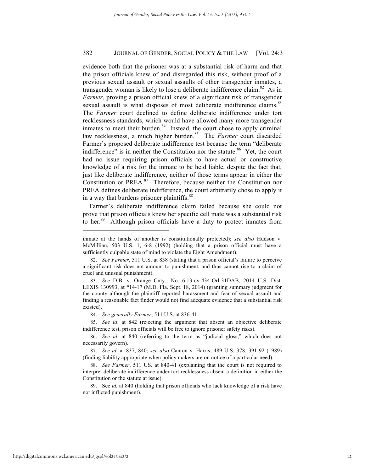evidence both that the prisoner was at a substantial risk of harm and that the prison officials knew of and disregarded this risk, without proof of a previous sexual assault or sexual assaults of other transgender inmates, a transgender woman is likely to lose a deliberate indifference claim.<sup>82</sup> As in *Farmer*, proving a prison official knew of a significant risk of transgender sexual assault is what disposes of most deliberate indifference claims.<sup>83</sup> The *Farmer* court declined to define deliberate indifference under tort recklessness standards, which would have allowed many more transgender inmates to meet their burden. $84$  Instead, the court chose to apply criminal law recklessness, a much higher burden.<sup>85</sup> The *Farmer* court discarded Farmer's proposed deliberate indifference test because the term "deliberate indifference" is in neither the Constitution nor the statute.<sup>86</sup> Yet, the court had no issue requiring prison officials to have actual or constructive knowledge of a risk for the inmate to be held liable, despite the fact that, just like deliberate indifference, neither of those terms appear in either the Constitution or PREA. $87$  Therefore, because neither the Constitution nor PREA defines deliberate indifference, the court arbitrarily chose to apply it in a way that burdens prisoner plaintiffs.<sup>88</sup>

Farmer's deliberate indifference claim failed because she could not prove that prison officials knew her specific cell mate was a substantial risk to her.<sup>89</sup> Although prison officials have a duty to protect inmates from

84. *See generally Farmer*, 511 U.S. at 836-41.

inmate at the hands of another is constitutionally protected); *see also* Hudson v. McMillian, 503 U.S. 1, 6-8 (1992) (holding that a prison official must have a sufficiently culpable state of mind to violate the Eight Amendment).

<sup>82.</sup> *See Farmer*, 511 U.S. at 838 (stating that a prison official's failure to perceive a significant risk does not amount to punishment, and thus cannot rise to a claim of cruel and unusual punishment).

<sup>83.</sup> *See* D.B. v. Orange Cnty., No. 6:13-cv-434-Orl-31DAB, 2014 U.S. Dist. LEXIS 130993, at \*14-17 (M.D. Fla. Sept. 18, 2014) (granting summary judgment for the county although the plaintiff reported harassment and fear of sexual assault and finding a reasonable fact finder would not find adequate evidence that a substantial risk existed).

<sup>85.</sup> *See id*. at 842 (rejecting the argument that absent an objective deliberate indifference test, prison officials will be free to ignore prisoner safety risks).

<sup>86.</sup> *See id*. at 840 (referring to the term as "judicial gloss," which does not necessarily govern).

<sup>87.</sup> *See id*. at 837, 840; *see also* Canton v. Harris, 489 U.S. 378, 391-92 (1989) (finding liability appropriate when policy makers are on notice of a particular need).

<sup>88.</sup> *See Farmer*, 511 US. at 840-41 (explaining that the court is not required to interpret deliberate indifference under tort recklessness absent a definition in either the Constitution or the statute at issue).

<sup>89.</sup> See *id.* at 840 (holding that prison officials who lack knowledge of a risk have not inflicted punishment).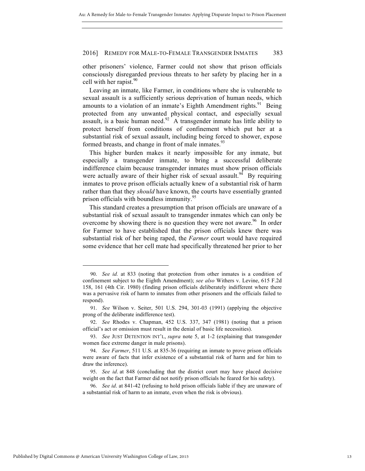other prisoners' violence, Farmer could not show that prison officials consciously disregarded previous threats to her safety by placing her in a cell with her rapist. $90$ 

Leaving an inmate, like Farmer, in conditions where she is vulnerable to sexual assault is a sufficiently serious deprivation of human needs, which amounts to a violation of an inmate's Eighth Amendment rights.<sup>91</sup> Being protected from any unwanted physical contact, and especially sexual assault, is a basic human need.<sup>92</sup> A transgender inmate has little ability to protect herself from conditions of confinement which put her at a substantial risk of sexual assault, including being forced to shower, expose formed breasts, and change in front of male inmates. $93$ 

This higher burden makes it nearly impossible for any inmate, but especially a transgender inmate, to bring a successful deliberate indifference claim because transgender inmates must show prison officials were actually aware of their higher risk of sexual assault.<sup>94</sup> By requiring inmates to prove prison officials actually knew of a substantial risk of harm rather than that they *should* have known, the courts have essentially granted prison officials with boundless immunity.<sup>95</sup>

This standard creates a presumption that prison officials are unaware of a substantial risk of sexual assault to transgender inmates which can only be overcome by showing there is no question they were not aware.<sup>96</sup> In order for Farmer to have established that the prison officials knew there was substantial risk of her being raped, the *Farmer* court would have required some evidence that her cell mate had specifically threatened her prior to her

<sup>90.</sup> *See id.* at 833 (noting that protection from other inmates is a condition of confinement subject to the Eighth Amendment); *see also* Withers v. Levine, 615 F.2d 158, 161 (4th Cir. 1980) (finding prison officials deliberately indifferent where there was a pervasive risk of harm to inmates from other prisoners and the officials failed to respond).

<sup>91.</sup> *See* Wilson v. Seiter, 501 U.S. 294, 301-03 (1991) (applying the objective prong of the deliberate indifference test).

<sup>92.</sup> *See* Rhodes v. Chapman, 452 U.S. 337, 347 (1981) (noting that a prison official's act or omission must result in the denial of basic life necessities).

<sup>93.</sup> *See* JUST DETENTION INT'L, *supra* note 5, at 1-2 (explaining that transgender women face extreme danger in male prisons).

<sup>94.</sup> *See Farmer*, 511 U.S. at 835-36 (requiring an inmate to prove prison officials were aware of facts that infer existence of a substantial risk of harm and for him to draw the inference).

<sup>95.</sup> *See id*. at 848 (concluding that the district court may have placed decisive weight on the fact that Farmer did not notify prison officials he feared for his safety).

<sup>96.</sup> *See id*. at 841-42 (refusing to hold prison officials liable if they are unaware of a substantial risk of harm to an inmate, even when the risk is obvious).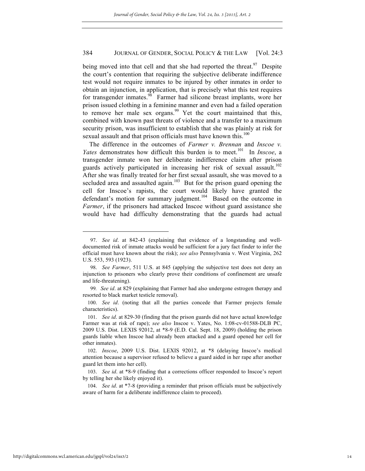being moved into that cell and that she had reported the threat.<sup>97</sup> Despite the court's contention that requiring the subjective deliberate indifference test would not require inmates to be injured by other inmates in order to obtain an injunction, in application, that is precisely what this test requires for transgender inmates.<sup>98</sup> Farmer had silicone breast implants, wore her prison issued clothing in a feminine manner and even had a failed operation to remove her male sex organs.<sup>99</sup> Yet the court maintained that this, combined with known past threats of violence and a transfer to a maximum security prison, was insufficient to establish that she was plainly at risk for sexual assault and that prison officials must have known this.<sup>100</sup>

The difference in the outcomes of *Farmer v. Brennan* and *Inscoe v. Yates* demonstrates how difficult this burden is to meet.<sup>101</sup> In *Inscoe*, a transgender inmate won her deliberate indifference claim after prison guards actively participated in increasing her risk of sexual assault.<sup>102</sup> After she was finally treated for her first sexual assault, she was moved to a secluded area and assaulted again.<sup>103</sup> But for the prison guard opening the cell for Inscoe's rapists, the court would likely have granted the defendant's motion for summary judgment.<sup>104</sup> Based on the outcome in *Farmer*, if the prisoners had attacked Inscoe without guard assistance she would have had difficulty demonstrating that the guards had actual

104. *See id*. at \*7-8 (providing a reminder that prison officials must be subjectively aware of harm for a deliberate indifference claim to proceed).

<sup>97.</sup> *See id*. at 842-43 (explaining that evidence of a longstanding and welldocumented risk of inmate attacks would be sufficient for a jury fact finder to infer the official must have known about the risk); *see also* Pennsylvania v. West Virginia, 262 U.S. 553, 593 (1923).

<sup>98.</sup> *See Farmer*, 511 U.S. at 845 (applying the subjective test does not deny an injunction to prisoners who clearly prove their conditions of confinement are unsafe and life-threatening).

<sup>99</sup>*. See id*. at 829 (explaining that Farmer had also undergone estrogen therapy and resorted to black market testicle removal).

<sup>100.</sup> *See id*. (noting that all the parties concede that Farmer projects female characteristics).

<sup>101.</sup> *See id*. at 829-30 (finding that the prison guards did not have actual knowledge Farmer was at risk of rape); *see also* Inscoe v. Yates, No. 1:08-cv-01588-DLB PC, 2009 U.S. Dist. LEXIS 92012, at \*8-9 (E.D. Cal. Sept. 18, 2009) (holding the prison guards liable when Inscoe had already been attacked and a guard opened her cell for other inmates).

<sup>102.</sup> *Inscoe*, 2009 U.S. Dist. LEXIS 92012, at \*8 (delaying Inscoe's medical attention because a supervisor refused to believe a guard aided in her rape after another guard let them into her cell).

<sup>103.</sup> *See id*. at \*8-9 (finding that a corrections officer responded to Inscoe's report by telling her she likely enjoyed it).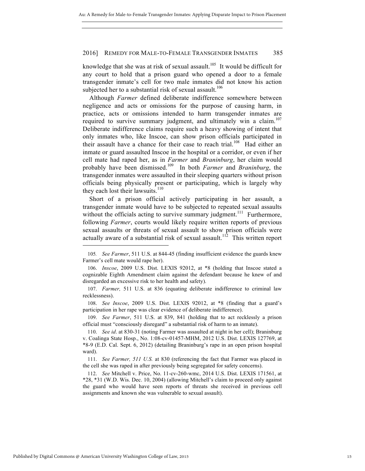knowledge that she was at risk of sexual assault.<sup>105</sup> It would be difficult for any court to hold that a prison guard who opened a door to a female transgender inmate's cell for two male inmates did not know his action subjected her to a substantial risk of sexual assault.<sup>106</sup>

Although *Farmer* defined deliberate indifference somewhere between negligence and acts or omissions for the purpose of causing harm, in practice, acts or omissions intended to harm transgender inmates are required to survive summary judgment, and ultimately win a claim.<sup>107</sup> Deliberate indifference claims require such a heavy showing of intent that only inmates who, like Inscoe, can show prison officials participated in their assault have a chance for their case to reach trial.<sup>108</sup> Had either an inmate or guard assaulted Inscoe in the hospital or a corridor, or even if her cell mate had raped her, as in *Farmer* and *Braninburg*, her claim would probably have been dismissed.109 In both *Farmer* and *Braninburg*, the transgender inmates were assaulted in their sleeping quarters without prison officials being physically present or participating, which is largely why they each lost their lawsuits. $110$ 

Short of a prison official actively participating in her assault, a transgender inmate would have to be subjected to repeated sexual assaults without the officials acting to survive summary judgment.<sup>111</sup> Furthermore, following *Farmer*, courts would likely require written reports of previous sexual assaults or threats of sexual assault to show prison officials were actually aware of a substantial risk of sexual assault.<sup>112</sup> This written report

108. *See Inscoe*, 2009 U.S. Dist. LEXIS 92012, at \*8 (finding that a guard's participation in her rape was clear evidence of deliberate indifference).

109. *See Farmer*, 511 U.S. at 839, 841 (holding that to act recklessly a prison official must "consciously disregard" a substantial risk of harm to an inmate).

<sup>105</sup>*. See Farmer*, 511 U.S. at 844-45 (finding insufficient evidence the guards knew Farmer's cell mate would rape her).

<sup>106.</sup> *Inscoe*, 2009 U.S. Dist. LEXIS 92012, at \*8 (holding that Inscoe stated a cognizable Eighth Amendment claim against the defendant because he knew of and disregarded an excessive risk to her health and safety).

<sup>107.</sup> *Farmer,* 511 U.S. at 836 (equating deliberate indifference to criminal law recklessness).

<sup>110.</sup> *See id*. at 830-31 (noting Farmer was assaulted at night in her cell); Braninburg v. Coalinga State Hosp., No. 1:08-cv-01457-MHM, 2012 U.S. Dist. LEXIS 127769, at \*8-9 (E.D. Cal. Sept. 6, 2012) (detailing Braninburg's rape in an open prison hospital ward).

<sup>111.</sup> *See Farmer, 511 U.S.* at 830 (referencing the fact that Farmer was placed in the cell she was raped in after previously being segregated for safety concerns).

<sup>112.</sup> *See* Mitchell v. Price, No. 11-cv-260-wmc, 2014 U.S. Dist. LEXIS 171561, at \*28, \*31 (W.D. Wis. Dec. 10, 2004) (allowing Mitchell's claim to proceed only against the guard who would have seen reports of threats she received in previous cell assignments and known she was vulnerable to sexual assault).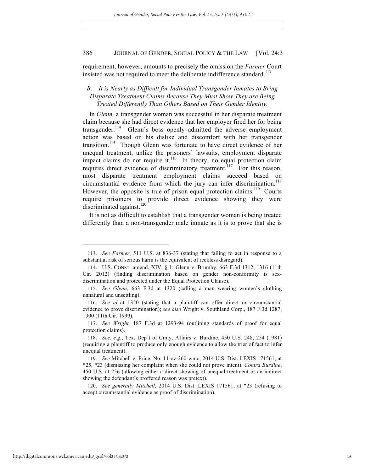requirement, however, amounts to precisely the omission the *Farmer* Court insisted was not required to meet the deliberate indifference standard.<sup>113</sup>

## *B. It is Nearly as Difficult for Individual Transgender Inmates to Bring Disparate Treatment Claims Because They Must Show They are Being Treated Differently Than Others Based on Their Gender Identity.*

In *Glenn,* a transgender woman was successful in her disparate treatment claim because she had direct evidence that her employer fired her for being transgender.<sup>114</sup> Glenn's boss openly admitted the adverse employment action was based on his dislike and discomfort with her transgender transition.<sup>115</sup> Though Glenn was fortunate to have direct evidence of her unequal treatment, unlike the prisoners' lawsuits, employment disparate impact claims do not require it.<sup>116</sup> In theory, no equal protection claim requires direct evidence of discriminatory treatment.<sup>117</sup> For this reason, most disparate treatment employment claims succeed based on circumstantial evidence from which the jury can infer discrimination.<sup>118</sup> However, the opposite is true of prison equal protection claims.<sup>119</sup> Courts require prisoners to provide direct evidence showing they were discriminated against. $^{120}$ 

It is not as difficult to establish that a transgender woman is being treated differently than a non-transgender male inmate as it is to prove that she is

<sup>113.</sup> *See Farmer*, 511 U.S. at 836-37 (stating that failing to act in response to a substantial risk of serious harm is the equivalent of reckless disregard).

<sup>114.</sup> U.S. CONST. amend. XIV, § 1; Glenn v. Brumby, 663 F.3d 1312, 1316 (11th Cir. 2012) (finding discrimination based on gender non-conformity is sexdiscrimination and protected under the Equal Protection Clause).

<sup>115.</sup> *See Glenn*, 663 F.3d at 1320 (calling a man wearing women's clothing unnatural and unsettling).

<sup>116.</sup> *See id*. at 1320 (stating that a plaintiff can offer direct or circumstantial evidence to prove discrimination); *see also* Wright v. Southland Corp., 187 F.3d 1287, 1300 (11th Cir. 1999).

<sup>117.</sup> *See Wright,* 187 F.3d at 1293-94 (outlining standards of proof for equal protection claims).

<sup>118.</sup> *See, e.g.*, Tex. Dep't of Cmty. Affairs v. Burdine, 450 U.S. 248, 254 (1981) (requiring a plaintiff to produce only enough evidence to allow the trier of fact to infer unequal treatment).

<sup>119.</sup> *See* Mitchell v. Price, No. 11-cv-260-wmc, 2014 U.S. Dist. LEXIS 171561, at \*25, \*23 (dismissing her complaint when she could not prove intent). *Contra Burdine*, 450 U.S. at 256 (allowing either a direct showing of unequal treatment or an indirect showing the defendant's proffered reason was pretext).

<sup>120.</sup> *See generally Mitchell*, 2014 U.S. Dist. LEXIS 171561, at \*23 (refusing to accept circumstantial evidence as proof of discrimination).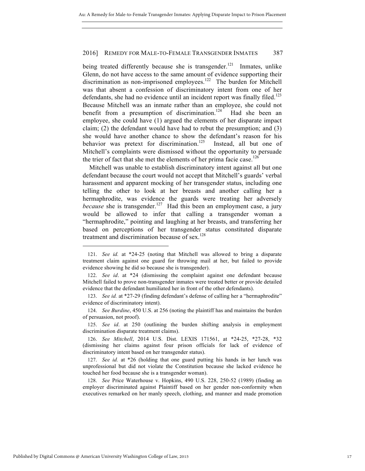being treated differently because she is transgender.<sup>121</sup> Inmates, unlike Glenn, do not have access to the same amount of evidence supporting their discrimination as non-imprisoned employees.<sup>122</sup> The burden for Mitchell was that absent a confession of discriminatory intent from one of her defendants, she had no evidence until an incident report was finally filed.<sup>123</sup> Because Mitchell was an inmate rather than an employee, she could not benefit from a presumption of discrimination.<sup>124</sup> Had she been an employee, she could have (1) argued the elements of her disparate impact claim; (2) the defendant would have had to rebut the presumption; and (3) she would have another chance to show the defendant's reason for his behavior was pretext for discrimination.<sup>125</sup> Instead, all but one of Mitchell's complaints were dismissed without the opportunity to persuade the trier of fact that she met the elements of her prima facie case.<sup>126</sup>

Mitchell was unable to establish discriminatory intent against all but one defendant because the court would not accept that Mitchell's guards' verbal harassment and apparent mocking of her transgender status, including one telling the other to look at her breasts and another calling her a hermaphrodite, was evidence the guards were treating her adversely *because* she is transgender.<sup>127</sup> Had this been an employment case, a jury would be allowed to infer that calling a transgender woman a "hermaphrodite," pointing and laughing at her breasts, and transferring her based on perceptions of her transgender status constituted disparate treatment and discrimination because of sex. $128$ 

124. *See Burdine*, 450 U.S. at 256 (noting the plaintiff has and maintains the burden of persuasion, not proof).

125. *See id*. at 250 (outlining the burden shifting analysis in employment discrimination disparate treatment claims).

126. *See Mitchell*, 2014 U.S. Dist. LEXIS 171561, at \*24-25, \*27-28, \*32 (dismissing her claims against four prison officials for lack of evidence of discriminatory intent based on her transgender status).

127. *See id.* at \*26 (holding that one guard putting his hands in her lunch was unprofessional but did not violate the Constitution because she lacked evidence he touched her food because she is a transgender woman).

128. *See* Price Waterhouse v. Hopkins, 490 U.S. 228, 250-52 (1989) (finding an employer discriminated against Plaintiff based on her gender non-conformity when executives remarked on her manly speech, clothing, and manner and made promotion

<sup>121.</sup> *See id.* at \*24-25 (noting that Mitchell was allowed to bring a disparate treatment claim against one guard for throwing mail at her, but failed to provide evidence showing he did so because she is transgender).

<sup>122.</sup> *See id*. at \*24 (dismissing the complaint against one defendant because Mitchell failed to prove non-transgender inmates were treated better or provide detailed evidence that the defendant humiliated her in front of the other defendants).

<sup>123.</sup> *See id.* at \*27-29 (finding defendant's defense of calling her a "hermaphrodite" evidence of discriminatory intent).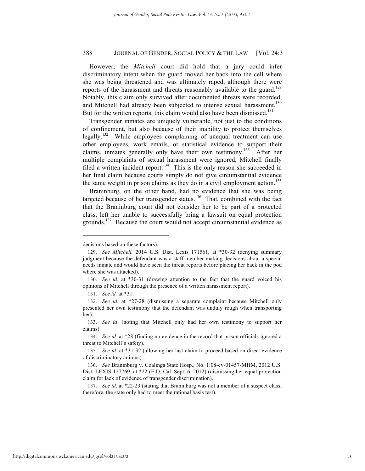However, the *Mitchell* court did hold that a jury could infer discriminatory intent when the guard moved her back into the cell where she was being threatened and was ultimately raped, although there were reports of the harassment and threats reasonably available to the guard.<sup>129</sup> Notably, this claim only survived after documented threats were recorded, and Mitchell had already been subjected to intense sexual harassment.<sup>130</sup> But for the written reports, this claim would also have been dismissed.<sup>131</sup>

Transgender inmates are uniquely vulnerable, not just to the conditions of confinement, but also because of their inability to protect themselves legally.<sup>132</sup> While employees complaining of unequal treatment can use other employees, work emails, or statistical evidence to support their claims, inmates generally only have their own testimony.<sup>133</sup> After her multiple complaints of sexual harassment were ignored, Mitchell finally filed a written incident report.<sup>134</sup> This is the only reason she succeeded in her final claim because courts simply do not give circumstantial evidence the same weight in prison claims as they do in a civil employment action.<sup>135</sup>

Braninburg, on the other hand, had no evidence that she was being targeted because of her transgender status.<sup>136</sup> That, combined with the fact that the Braninburg court did not consider her to be part of a protected class, left her unable to successfully bring a lawsuit on equal protection grounds.<sup>137</sup> Because the court would not accept circumstantial evidence as

decisions based on these factors).

<sup>129.</sup> *See Mitchell,* 2014 U.S. Dist. Lexis 171561, at \*30-32 (denying summary judgment because the defendant was a staff member making decisions about a special needs inmate and would have seen the threat reports before placing her back in the pod where she was attacked).

<sup>130.</sup> *See id*. at \*30-31 (drawing attention to the fact that the guard voiced his opinions of Mitchell through the presence of a written harassment report).

<sup>131.</sup> *See id.* at \*31.

<sup>132.</sup> *See id*. at \*27-28 (dismissing a separate complaint because Mitchell only presented her own testimony that the defendant was unduly rough when transporting her).

<sup>133.</sup> *See id*. (noting that Mitchell only had her own testimony to support her claims).

<sup>134.</sup> *See id.* at \*28 (finding no evidence in the record that prison officials ignored a threat to Mitchell's safety).

<sup>135.</sup> *See id.* at \*31-32 (allowing her last claim to proceed based on direct evidence of discriminatory animus).

<sup>136.</sup> *See* Braninburg v. Coalinga State Hosp., No. 1:08-cv-01457-MHM, 2012 U.S. Dist. LEXIS 127769, at \*22 (E.D. Cal. Sept. 6, 2012) (dismissing her equal protection claim for lack of evidence of transgender discrimination).

<sup>137.</sup> *See id*. at \*22-23 (stating that Braninburg was not a member of a suspect class; therefore, the state only had to meet the rational basis test).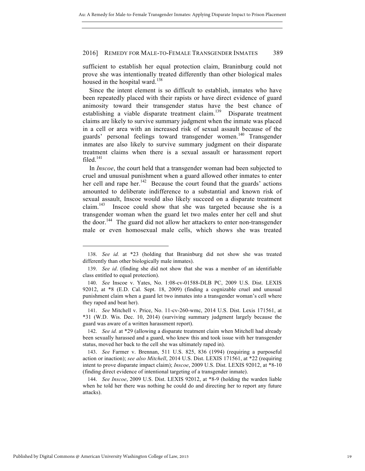sufficient to establish her equal protection claim, Braninburg could not prove she was intentionally treated differently than other biological males housed in the hospital ward.<sup>138</sup>

Since the intent element is so difficult to establish, inmates who have been repeatedly placed with their rapists or have direct evidence of guard animosity toward their transgender status have the best chance of establishing a viable disparate treatment claim.<sup>139</sup> Disparate treatment claims are likely to survive summary judgment when the inmate was placed in a cell or area with an increased risk of sexual assault because of the guards' personal feelings toward transgender women.<sup>140</sup> Transgender inmates are also likely to survive summary judgment on their disparate treatment claims when there is a sexual assault or harassment report filed.<sup>141</sup>

In *Inscoe*, the court held that a transgender woman had been subjected to cruel and unusual punishment when a guard allowed other inmates to enter her cell and rape her.<sup>142</sup> Because the court found that the guards' actions amounted to deliberate indifference to a substantial and known risk of sexual assault, Inscoe would also likely succeed on a disparate treatment claim.<sup>143</sup> Inscoe could show that she was targeted because she is a transgender woman when the guard let two males enter her cell and shut the door.<sup>144</sup> The guard did not allow her attackers to enter non-transgender male or even homosexual male cells, which shows she was treated

142. *See id.* at \*29 (allowing a disparate treatment claim when Mitchell had already been sexually harassed and a guard, who knew this and took issue with her transgender status, moved her back to the cell she was ultimately raped in).

143. *See* Farmer v. Brennan, 511 U.S. 825, 836 (1994) (requiring a purposeful action or inaction); *see also Mitchell*, 2014 U.S. Dist. LEXIS 171561, at \*22 (requiring intent to prove disparate impact claim); *Inscoe*, 2009 U.S. Dist. LEXIS 92012, at \*8-10 (finding direct evidence of intentional targeting of a transgender inmate).

144. *See Inscoe*, 2009 U.S. Dist. LEXIS 92012, at \*8-9 (holding the warden liable when he told her there was nothing he could do and directing her to report any future attacks).

<sup>138.</sup> *See id.* at \*23 (holding that Braninburg did not show she was treated differently than other biologically male inmates).

<sup>139.</sup> *See id*. (finding she did not show that she was a member of an identifiable class entitled to equal protection).

<sup>140.</sup> *See* Inscoe v. Yates, No. 1:08-cv-01588-DLB PC, 2009 U.S. Dist. LEXIS 92012, at \*8 (E.D. Cal. Sept. 18, 2009) (finding a cognizable cruel and unusual punishment claim when a guard let two inmates into a transgender woman's cell where they raped and beat her).

<sup>141.</sup> *See* Mitchell v. Price, No. 11-cv-260-wmc, 2014 U.S. Dist. Lexis 171561, at \*31 (W.D. Wis. Dec. 10, 2014) (surviving summary judgment largely because the guard was aware of a written harassment report).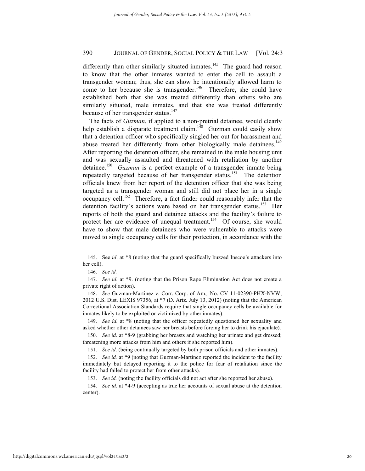differently than other similarly situated inmates.<sup>145</sup> The guard had reason to know that the other inmates wanted to enter the cell to assault a transgender woman; thus, she can show he intentionally allowed harm to come to her because she is transgender.<sup>146</sup> Therefore, she could have established both that she was treated differently than others who are similarly situated, male inmates, and that she was treated differently because of her transgender status.<sup>147</sup>

The facts of *Guzman*, if applied to a non-pretrial detainee, would clearly help establish a disparate treatment claim.<sup>148</sup> Guzman could easily show that a detention officer who specifically singled her out for harassment and abuse treated her differently from other biologically male detainees.<sup>149</sup> After reporting the detention officer, she remained in the male housing unit and was sexually assaulted and threatened with retaliation by another detainee.<sup>150</sup> *Guzman* is a perfect example of a transgender inmate being repeatedly targeted because of her transgender status.<sup>151</sup> The detention officials knew from her report of the detention officer that she was being targeted as a transgender woman and still did not place her in a single occupancy cell.<sup>152</sup> Therefore, a fact finder could reasonably infer that the detention facility's actions were based on her transgender status.<sup>153</sup> Her reports of both the guard and detainee attacks and the facility's failure to protect her are evidence of unequal treatment.<sup>154</sup> Of course, she would have to show that male detainees who were vulnerable to attacks were moved to single occupancy cells for their protection, in accordance with the

<sup>145.</sup> See *id*. at \*8 (noting that the guard specifically buzzed Inscoe's attackers into her cell).

<sup>146.</sup> *See id.*

<sup>147.</sup> *See id.* at \*9. (noting that the Prison Rape Elimination Act does not create a private right of action).

<sup>148.</sup> *See* Guzman-Martinez v. Corr. Corp. of Am.*,* No. CV 11-02390-PHX-NVW, 2012 U.S. Dist. LEXIS 97356, at \*7 (D. Ariz. July 13, 2012) (noting that the American Correctional Association Standards require that single occupancy cells be available for inmates likely to be exploited or victimized by other inmates).

<sup>149.</sup> *See id.* at \*8 (noting that the officer repeatedly questioned her sexuality and asked whether other detainees saw her breasts before forcing her to drink his ejaculate).

<sup>150.</sup> *See id*. at \*8-9 (grabbing her breasts and watching her urinate and get dressed; threatening more attacks from him and others if she reported him).

<sup>151.</sup> *See id*. (being continually targeted by both prison officials and other inmates).

<sup>152.</sup> *See id.* at \*9 (noting that Guzman-Martinez reported the incident to the facility immediately but delayed reporting it to the police for fear of retaliation since the facility had failed to protect her from other attacks).

<sup>153.</sup> *See id.* (noting the facility officials did not act after she reported her abuse).

<sup>154.</sup> *See id.* at \*4-9 (accepting as true her accounts of sexual abuse at the detention center).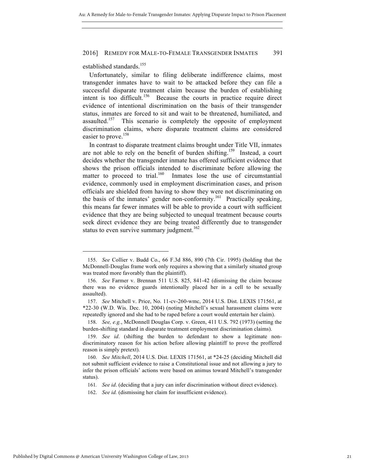established standards.<sup>155</sup>

Unfortunately, similar to filing deliberate indifference claims, most transgender inmates have to wait to be attacked before they can file a successful disparate treatment claim because the burden of establishing intent is too difficult.<sup>156</sup> Because the courts in practice require direct evidence of intentional discrimination on the basis of their transgender status, inmates are forced to sit and wait to be threatened, humiliated, and assaulted.<sup>157</sup> This scenario is completely the opposite of employment discrimination claims, where disparate treatment claims are considered easier to prove.<sup>158</sup>

In contrast to disparate treatment claims brought under Title VII, inmates are not able to rely on the benefit of burden shifting.<sup>159</sup> Instead, a court decides whether the transgender inmate has offered sufficient evidence that shows the prison officials intended to discriminate before allowing the matter to proceed to trial.<sup>160</sup> Inmates lose the use of circumstantial evidence, commonly used in employment discrimination cases, and prison officials are shielded from having to show they were not discriminating on the basis of the inmates' gender non-conformity.<sup>161</sup> Practically speaking, this means far fewer inmates will be able to provide a court with sufficient evidence that they are being subjected to unequal treatment because courts seek direct evidence they are being treated differently due to transgender status to even survive summary judgment.<sup>162</sup>

<sup>155.</sup> *See* Collier v. Budd Co., 66 F.3d 886, 890 (7th Cir. 1995) (holding that the McDonnell-Douglas frame work only requires a showing that a similarly situated group was treated more favorably than the plaintiff).

<sup>156.</sup> *See* Farmer v. Brennan 511 U.S. 825, 841-42 (dismissing the claim because there was no evidence guards intentionally placed her in a cell to be sexually assaulted).

<sup>157.</sup> *See* Mitchell v. Price, No. 11-cv-260-wmc, 2014 U.S. Dist. LEXIS 171561, at \*22-30 (W.D. Wis. Dec. 10, 2004) (noting Mitchell's sexual harassment claims were repeatedly ignored and she had to be raped before a court would entertain her claim).

<sup>158.</sup> *See, e.g.*, McDonnell Douglas Corp. v. Green, 411 U.S. 792 (1973) (setting the burden-shifting standard in disparate treatment employment discrimination claims).

<sup>159.</sup> *See id*. (shifting the burden to defendant to show a legitimate nondiscriminatory reason for his action before allowing plaintiff to prove the proffered reason is simply pretext).

<sup>160.</sup> *See Mitchell*, 2014 U.S. Dist. LEXIS 171561, at \*24-25 (deciding Mitchell did not submit sufficient evidence to raise a Constitutional issue and not allowing a jury to infer the prison officials' actions were based on animus toward Mitchell's transgender status).

<sup>161</sup>*. See id*. (deciding that a jury can infer discrimination without direct evidence).

<sup>162.</sup> *See id.* (dismissing her claim for insufficient evidence).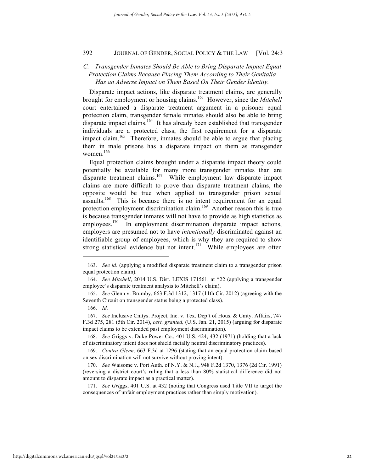## *C. Transgender Inmates Should Be Able to Bring Disparate Impact Equal Protection Claims Because Placing Them According to Their Genitalia Has an Adverse Impact on Them Based On Their Gender Identity.*

Disparate impact actions, like disparate treatment claims, are generally brought for employment or housing claims.<sup>163</sup> However, since the *Mitchell* court entertained a disparate treatment argument in a prisoner equal protection claim, transgender female inmates should also be able to bring disparate impact claims.<sup>164</sup> It has already been established that transgender individuals are a protected class, the first requirement for a disparate impact claim.<sup>165</sup> Therefore, inmates should be able to argue that placing them in male prisons has a disparate impact on them as transgender women. $166$ 

Equal protection claims brought under a disparate impact theory could potentially be available for many more transgender inmates than are disparate treatment claims.<sup>167</sup> While employment law disparate impact claims are more difficult to prove than disparate treatment claims, the opposite would be true when applied to transgender prison sexual assaults.168 This is because there is no intent requirement for an equal protection employment discrimination claim.<sup>169</sup> Another reason this is true is because transgender inmates will not have to provide as high statistics as employees.<sup>170</sup> In employment discrimination disparate impact actions, employers are presumed not to have *intentionally* discriminated against an identifiable group of employees, which is why they are required to show strong statistical evidence but not intent.<sup>171</sup> While employees are often

<sup>163.</sup> *See id*. (applying a modified disparate treatment claim to a transgender prison equal protection claim).

<sup>164.</sup> *See Mitchell*, 2014 U.S. Dist. LEXIS 171561, at \*22 (applying a transgender employee's disparate treatment analysis to Mitchell's claim).

<sup>165.</sup> *See* Glenn v. Brumby, 663 F.3d 1312, 1317 (11th Cir. 2012) (agreeing with the Seventh Circuit on transgender status being a protected class).

<sup>166.</sup> *Id.*

<sup>167.</sup> *See* Inclusive Cmtys. Project, Inc. v. Tex. Dep't of Hous. & Cmty. Affairs, 747 F.3d 275, 281 (5th Cir. 2014), *cert. granted,* (U.S. Jan. 21, 2015) (arguing for disparate impact claims to be extended past employment discrimination).

<sup>168.</sup> *See* Griggs v. Duke Power Co., 401 U.S. 424, 432 (1971) (holding that a lack of discriminatory intent does not shield facially neutral discriminatory practices).

<sup>169.</sup> *Contra Glenn*, 663 F.3d at 1296 (stating that an equal protection claim based on sex discrimination will not survive without proving intent).

<sup>170.</sup> *See* Waisome v. Port Auth. of N.Y. & N.J., 948 F.2d 1370, 1376 (2d Cir. 1991) (reversing a district court's ruling that a less than 80% statistical difference did not amount to disparate impact as a practical matter).

<sup>171.</sup> *See Griggs*, 401 U.S. at 432 (noting that Congress used Title VII to target the consequences of unfair employment practices rather than simply motivation).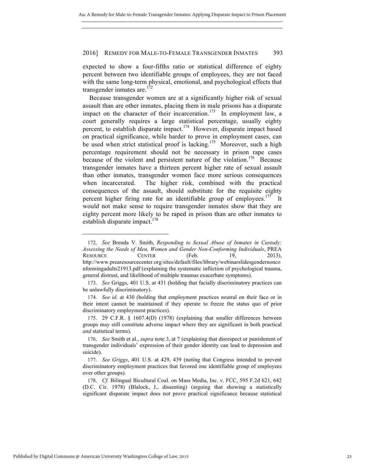expected to show a four-fifths ratio or statistical difference of eighty percent between two identifiable groups of employees, they are not faced with the same long-term physical, emotional, and psychological effects that transgender inmates are. $172$ 

Because transgender women are at a significantly higher risk of sexual assault than are other inmates, placing them in male prisons has a disparate impact on the character of their incarceration.<sup>173</sup> In employment law, a court generally requires a large statistical percentage, usually eighty percent, to establish disparate impact.174 However, disparate impact based on practical significance, while harder to prove in employment cases, can be used when strict statistical proof is lacking.<sup>175</sup> Moreover, such a high percentage requirement should not be necessary in prison rape cases because of the violent and persistent nature of the violation.<sup>176</sup> Because transgender inmates have a thirteen percent higher rate of sexual assault than other inmates, transgender women face more serious consequences when incarcerated. The higher risk, combined with the practical consequences of the assault, should substitute for the requisite eighty percent higher firing rate for an identifiable group of employees.<sup>177</sup> It would not make sense to require transgender inmates show that they are eighty percent more likely to be raped in prison than are other inmates to establish disparate impact. $178$ 

<sup>172.</sup> *See* Brenda V. Smith, *Responding to Sexual Abuse of Inmates in Custody: Assessing the Needs of Men, Women and Gender Non-Conforming Individuals*, PREA RESOURCE CENTER (Feb. 19, 2013), http://www.prearesourcecenter.org/sites/default/files/library/webinarslidesgendernonco nformingadults21913.pdf (explaining the systematic infliction of psychological trauma, general distrust, and likelihood of multiple traumas exacerbate symptoms).

<sup>173.</sup> *See* Griggs, 401 U.S. at 431 (holding that facially discriminatory practices can be unlawfully discriminatory).

<sup>174.</sup> *See id*. at 430 (holding that employment practices neutral on their face or in their intent cannot be maintained if they operate to freeze the status quo of prior discriminatory employment practices).

<sup>175.</sup> 29 C.F.R. § 1607.4(D) (1978) (explaining that smaller differences between groups may still constitute adverse impact where they are significant in both practical *and* statistical terms).

<sup>176.</sup> *See* Smith et al., *supra* note 3, at 7 (explaining that disrespect or punishment of transgender individuals' expression of their gender identity can lead to depression and suicide).

<sup>177.</sup> *See Griggs*, 401 U.S. at 429, 439 (noting that Congress intended to prevent discriminatory employment practices that favored one identifiable group of employees over other groups).

<sup>178.</sup> *Cf.* Bilingual Bicultural Coal. on Mass Media, Inc. v. FCC, 595 F.2d 621, 642 (D.C. Cir. 1978) (Blalock, J., dissenting) (arguing that showing a statistically significant disparate impact does not prove practical significance because statistical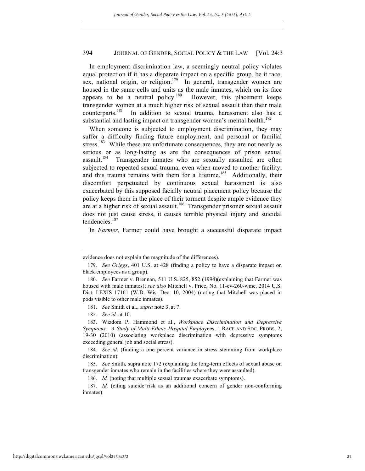In employment discrimination law, a seemingly neutral policy violates equal protection if it has a disparate impact on a specific group, be it race, sex, national origin, or religion.<sup>179</sup> In general, transgender women are housed in the same cells and units as the male inmates, which on its face appears to be a neutral policy.<sup>180</sup> However, this placement keeps transgender women at a much higher risk of sexual assault than their male counterparts.<sup>181</sup> In addition to sexual trauma, harassment also has a substantial and lasting impact on transgender women's mental health.<sup>182</sup>

When someone is subjected to employment discrimination, they may suffer a difficulty finding future employment, and personal or familial stress.<sup>183</sup> While these are unfortunate consequences, they are not nearly as serious or as long-lasting as are the consequences of prison sexual assault.<sup>184</sup> Transgender inmates who are sexually assaulted are often subjected to repeated sexual trauma, even when moved to another facility, and this trauma remains with them for a lifetime.<sup>185</sup> Additionally, their discomfort perpetuated by continuous sexual harassment is also exacerbated by this supposed facially neutral placement policy because the policy keeps them in the place of their torment despite ample evidence they are at a higher risk of sexual assault.<sup>186</sup> Transgender prisoner sexual assault does not just cause stress, it causes terrible physical injury and suicidal tendencies.<sup>187</sup>

In *Farmer,* Farmer could have brought a successful disparate impact

evidence does not explain the magnitude of the differences).

<sup>179.</sup> *See Griggs*, 401 U.S. at 428 (finding a policy to have a disparate impact on black employees as a group).

<sup>180.</sup> *See* Farmer v. Brennan, 511 U.S. 825, 852 (1994)(explaining that Farmer was housed with male inmates); *see also* Mitchell v. Price, No. 11-cv-260-wmc, 2014 U.S. Dist. LEXIS 17161 (W.D. Wis. Dec. 10, 2004) (noting that Mitchell was placed in pods visible to other male inmates).

<sup>181.</sup> *See* Smith et al., *supra* note 3, at 7.

<sup>182.</sup> *See id.* at 10.

<sup>183.</sup> Wizdom P. Hammond et al., *Workplace Discrimination and Depressive Symptoms: A Study of Multi-Ethnic Hospital Emplo*yees, 1 RACE AND SOC. PROBS. 2, 19-30 (2010) (associating workplace discrimination with depressive symptoms exceeding general job and social stress).

<sup>184.</sup> *See id*. (finding a one percent variance in stress stemming from workplace discrimination).

<sup>185.</sup> *See* Smith*,* supra note 172 (explaining the long-term effects of sexual abuse on transgender inmates who remain in the facilities where they were assaulted).

<sup>186.</sup> *Id.* (noting that multiple sexual traumas exacerbate symptoms).

<sup>187.</sup> *Id.* (citing suicide risk as an additional concern of gender non-conforming inmates).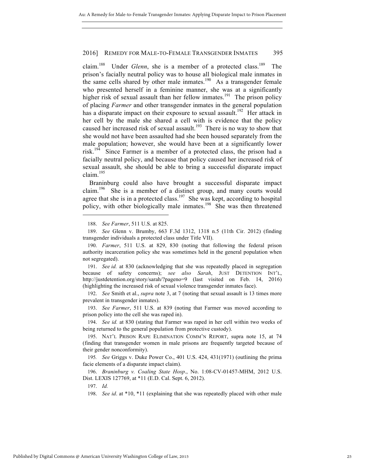claim.<sup>188</sup> Under *Glenn*, she is a member of a protected class.<sup>189</sup> The prison's facially neutral policy was to house all biological male inmates in the same cells shared by other male inmates.<sup>190</sup> As a transgender female who presented herself in a feminine manner, she was at a significantly higher risk of sexual assault than her fellow inmates.<sup>191</sup> The prison policy of placing *Farmer* and other transgender inmates in the general population has a disparate impact on their exposure to sexual assault.<sup>192</sup> Her attack in her cell by the male she shared a cell with is evidence that the policy caused her increased risk of sexual assault.<sup>193</sup> There is no way to show that she would not have been assaulted had she been housed separately from the male population; however, she would have been at a significantly lower risk.<sup>194</sup> Since Farmer is a member of a protected class, the prison had a facially neutral policy, and because that policy caused her increased risk of sexual assault, she should be able to bring a successful disparate impact claim. $195$ 

Braninburg could also have brought a successful disparate impact claim.<sup>196</sup> She is a member of a distinct group, and many courts would agree that she is in a protected class.<sup>197</sup> She was kept, according to hospital policy, with other biologically male inmates.<sup>198</sup> She was then threatened

188. *See Farmer*, 511 U.S. at 825.

 $\overline{a}$ 

191. *See id.* at 830 (acknowledging that she was repeatedly placed in segregation because of safety concerns); *see also Sarah*, JUST DETENTION INT'L, http://justdetention.org/story/sarah/?pageno=9 (last visited on Feb. 14, 2016) (highlighting the increased risk of sexual violence transgender inmates face).

192. *See* Smith et al., *supra* note 3, at 7 (noting that sexual assault is 13 times more prevalent in transgender inmates).

193. *See Farmer*, 511 U.S. at 839 (noting that Farmer was moved according to prison policy into the cell she was raped in).

194. *See id.* at 830 (stating that Farmer was raped in her cell within two weeks of being returned to the general population from protective custody).

195*. See* Griggs v. Duke Power Co., 401 U.S. 424, 431(1971) (outlining the prima facie elements of a disparate impact claim).

196. *Braninburg v. Coaling State Hosp*., No. 1:08-CV-01457-MHM, 2012 U.S. Dist. LEXIS 127769, at \*11 (E.D. Cal. Sept. 6, 2012).

197. *Id.*

198. *See id*. at \*10, \*11 (explaining that she was repeatedly placed with other male

<sup>189.</sup> *See* Glenn v. Brumby, 663 F.3d 1312, 1318 n.5 (11th Cir. 2012) (finding transgender individuals a protected class under Title VII).

<sup>190.</sup> *Farmer*, 511 U.S. at 829, 830 (noting that following the federal prison authority incarceration policy she was sometimes held in the general population when not segregated).

<sup>195.</sup> NAT'L PRISON RAPE ELIMINATION COMM'N REPORT, supra note 15, at 74 (finding that transgender women in male prisons are frequently targeted because of their gender nonconformity).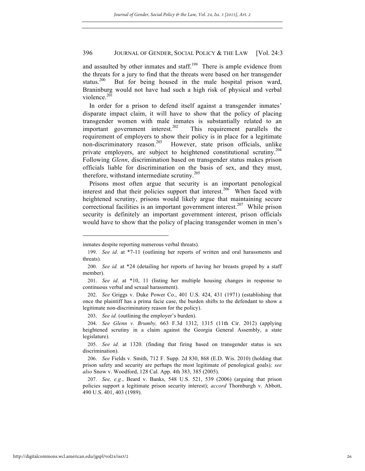and assaulted by other inmates and staff.<sup>199</sup> There is ample evidence from the threats for a jury to find that the threats were based on her transgender status.<sup>200</sup> But for being housed in the male hospital prison ward, Braninburg would not have had such a high risk of physical and verbal violence.<sup>201</sup>

In order for a prison to defend itself against a transgender inmates' disparate impact claim, it will have to show that the policy of placing transgender women with male inmates is substantially related to an important government interest.<sup>202</sup> This requirement parallels the requirement of employers to show their policy is in place for a legitimate non-discriminatory reason.<sup>203</sup> However, state prison officials, unlike private employers, are subject to heightened constitutional scrutiny.<sup>204</sup> Following *Glenn*, discrimination based on transgender status makes prison officials liable for discrimination on the basis of sex, and they must, therefore, withstand intermediate scrutiny.<sup>205</sup>

Prisons most often argue that security is an important penological interest and that their policies support that interest.<sup>206</sup> When faced with heightened scrutiny, prisons would likely argue that maintaining secure correctional facilities is an important government interest.<sup>207</sup> While prison security is definitely an important government interest, prison officials would have to show that the policy of placing transgender women in men's

inmates despite reporting numerous verbal threats).

<sup>199.</sup> *See id*. at \*7-11 (outlining her reports of written and oral harassments and threats).

<sup>200.</sup> *See id.* at \*24 (detailing her reports of having her breasts groped by a staff member).

<sup>201.</sup> *See id*. at \*10, 11 (listing her multiple housing changes in response to continuous verbal and sexual harassment).

<sup>202.</sup> *See* Griggs v. Duke Power Co., 401 U.S. 424, 431 (1971) (establishing that once the plaintiff has a prima facie case, the burden shifts to the defendant to show a legitimate non-discriminatory reason for the policy).

<sup>203.</sup> *See id.* (outlining the employer's burden).

<sup>204.</sup> *See Glenn v. Brumby,* 663 F.3d 1312, 1315 (11th Cir. 2012) (applying heightened scrutiny in a claim against the Georgia General Assembly, a state legislature).

<sup>205.</sup> *See id.* at 1320. (finding that firing based on transgender status is sex discrimination).

<sup>206.</sup> *See* Fields v. Smith, 712 F. Supp. 2d 830, 868 (E.D. Wis. 2010) (holding that prison safety and security are perhaps the most legitimate of penological goals)*; see also* Snow v. Woodford, 128 Cal. App. 4th 383, 385 (2005).

<sup>207.</sup> *See, e.g.*, Beard v. Banks, 548 U.S. 521, 539 (2006) (arguing that prison policies support a legitimate prison security interest); *accord* Thornburgh v. Abbott, 490 U.S. 401, 403 (1989).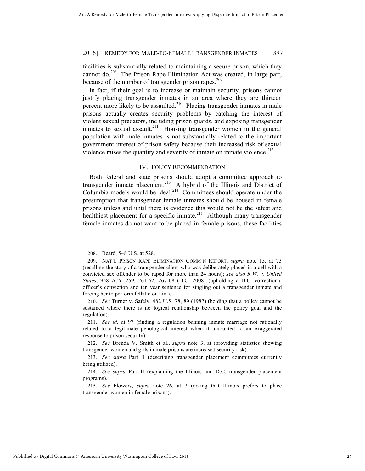facilities is substantially related to maintaining a secure prison, which they cannot do.<sup>208</sup> The Prison Rape Elimination Act was created, in large part, because of the number of transgender prison rapes.<sup>209</sup>

In fact, if their goal is to increase or maintain security, prisons cannot justify placing transgender inmates in an area where they are thirteen percent more likely to be assaulted.<sup>210</sup> Placing transgender inmates in male prisons actually creates security problems by catching the interest of violent sexual predators, including prison guards, and exposing transgender inmates to sexual assault.<sup>211</sup> Housing transgender women in the general population with male inmates is not substantially related to the important government interest of prison safety because their increased risk of sexual violence raises the quantity and severity of inmate on inmate violence.<sup>212</sup>

#### IV. POLICY RECOMMENDATION

Both federal and state prisons should adopt a committee approach to transgender inmate placement.<sup>213</sup> A hybrid of the Illinois and District of Columbia models would be ideal.<sup>214</sup> Committees should operate under the presumption that transgender female inmates should be housed in female prisons unless and until there is evidence this would not be the safest and healthiest placement for a specific inmate.<sup>215</sup> Although many transgender female inmates do not want to be placed in female prisons, these facilities

<sup>208.</sup> Beard, 548 U.S. at 528.

<sup>209.</sup> NAT'L PRISON RAPE ELIMINATION COMM'N REPORT, *supra* note 15, at 73 (recalling the story of a transgender client who was deliberately placed in a cell with a convicted sex offender to be raped for more than 24 hours); *see also R.W. v. United States*, 958 A.2d 259, 261-62, 267-68 (D.C. 2008) (upholding a D.C. correctional officer's conviction and ten year sentence for singling out a transgender inmate and forcing her to perform fellatio on him).

<sup>210.</sup> *See* Turner v. Safely, 482 U.S. 78, 89 (1987) (holding that a policy cannot be sustained where there is no logical relationship between the policy goal and the regulation).

<sup>211.</sup> *See id.* at 97 (finding a regulation banning inmate marriage not rationally related to a legitimate penological interest when it amounted to an exaggerated response to prison security).

<sup>212.</sup> *See* Brenda V. Smith et al., *supra* note 3, at (providing statistics showing transgender women and girls in male prisons are increased security risk).

<sup>213.</sup> *See supra* Part II (describing transgender placement committees currently being utilized).

<sup>214.</sup> *See supra* Part II (explaining the Illinois and D.C. transgender placement programs).

<sup>215.</sup> *See* Flowers, *supra* note 26, at 2 (noting that Illinois prefers to place transgender women in female prisons).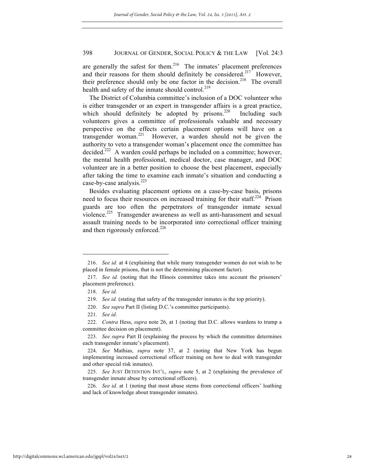are generally the safest for them.<sup>216</sup> The inmates' placement preferences and their reasons for them should definitely be considered.<sup>217</sup> However, their preference should only be one factor in the decision.<sup>218</sup> The overall health and safety of the inmate should control.<sup>219</sup>

The District of Columbia committee's inclusion of a DOC volunteer who is either transgender or an expert in transgender affairs is a great practice, which should definitely be adopted by prisons. $220$  Including such volunteers gives a committee of professionals valuable and necessary perspective on the effects certain placement options will have on a transgender woman.<sup>221</sup> However, a warden should not be given the authority to veto a transgender woman's placement once the committee has decided.<sup>222</sup> A warden could perhaps be included on a committee; however, the mental health professional, medical doctor, case manager, and DOC volunteer are in a better position to choose the best placement, especially after taking the time to examine each inmate's situation and conducting a case-by-case analysis. $^{223}$ 

Besides evaluating placement options on a case-by-case basis, prisons need to focus their resources on increased training for their staff.<sup>224</sup> Prison guards are too often the perpetrators of transgender inmate sexual violence.<sup>225</sup> Transgender awareness as well as anti-harassment and sexual assault training needs to be incorporated into correctional officer training and then rigorously enforced.<sup>226</sup>

<sup>216.</sup> *See id.* at 4 (explaining that while many transgender women do not wish to be placed in female prisons, that is not the determining placement factor).

<sup>217.</sup> *See id.* (noting that the Illinois committee takes into account the prisoners' placement preference).

<sup>218.</sup> *See id.*

<sup>219.</sup> *See id.* (stating that safety of the transgender inmates is the top priority).

<sup>220.</sup> *See supra* Part II (listing D.C.'s committee participants).

<sup>221.</sup> *See id*.

<sup>222.</sup> *Contra* Hess, *supra* note 26, at 1 (noting that D.C. allows wardens to trump a committee decision on placement).

<sup>223.</sup> *See supra* Part II (explaining the process by which the committee determines each transgender inmate's placement).

<sup>224.</sup> *See* Mathias, *supra* note 37, at 2 (noting that New York has begun implementing increased correctional officer training on how to deal with transgender and other special risk inmates).

<sup>225.</sup> *See* JUST DETENTION INT'L, *supra* note 5, at 2 (explaining the prevalence of transgender inmate abuse by correctional officers).

<sup>226.</sup> *See id.* at 1 (noting that most abuse stems from correctional officers' loathing and lack of knowledge about transgender inmates).